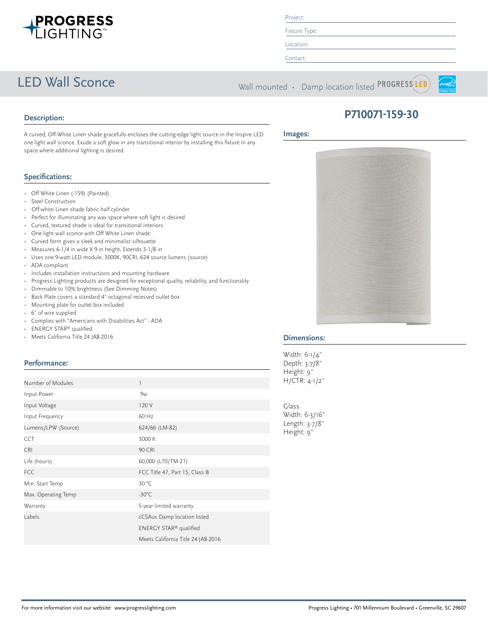

Project:

Fixture Type: Location:

Contact:

LED Wall Sconce Wall mounted • Damp location listed PROGRESS LED



# **P710071-159-30**

**Images:**

A curved, Off-White Linen shade gracefully encloses the cutting-edge light source in the Inspire LED one-light wall sconce. Exude a soft glow in any transitional interior by installing this fixture in any space where additional lighting is desired.

# **Specifications:**

**Description:**

- Off White Linen (-159) (Painted)
- Steel Construction
- Off-white Linen shade fabric half cylinder
- Perfect for illuminating any way space where soft light is desired
- Curved, textured shade is ideal for transitional interiors
- One-light wall sconce with Off White Linen shade
- Curved form gives a sleek and minimalist silhouette
- Measures 6-1/4 in wide X 9 in height, Extends 3-1/8 in
- Uses one 9-watt LED module, 3000K, 90CRI, 624 source lumens (source)
- ADA compliant
- Includes installation instructions and mounting hardware
- Progress Lighting products are designed for exceptional quality, reliability, and functionality
- Dimmable to 10% brightness (See Dimming Notes)
- Back Plate covers a standard 4" octagonal recessed outlet box
- Mounting plate for outlet box included
- 6" of wire supplied
- Complies with "Americans with Disabilities Act" ADA
- ENERGY STAR® qualified
- Meets California Title 24 JA8-2016

# **Performance:**

| Number of Modules   |                                    | H/CTR              |  |
|---------------------|------------------------------------|--------------------|--|
|                     |                                    |                    |  |
| Input Power         | 9 <sub>w</sub>                     |                    |  |
| Input Voltage       | 120 V                              | Glass              |  |
| Input Frequency     | 60 Hz                              | Width:             |  |
| Lumens/LPW (Source) | 624/66 (LM-82)                     | Length:<br>Height: |  |
| <b>CCT</b>          | 3000 K                             |                    |  |
| <b>CRI</b>          | <b>90 CRI</b>                      |                    |  |
| Life (hours)        | 60,000 (L70/TM-21)                 |                    |  |
| <b>FCC</b>          | FCC Title 47, Part 15, Class B     |                    |  |
| Min. Start Temp     | 30 °C                              |                    |  |
| Max. Operating Temp | $-30^{\circ}$ C                    |                    |  |
| Warranty            | 5-year limited warranty            |                    |  |
| Labels              | cCSAus Damp location listed        |                    |  |
|                     | ENERGY STAR® qualified             |                    |  |
|                     | Meets California Title 24 JA8-2016 |                    |  |



# **Dimensions:**

Width: 6-1/4" Depth: 3-7/8" Height: 9"  $4 - 1/2"$ 

 $6 - 3/16"$  $3 - 7/8"$  $9"$